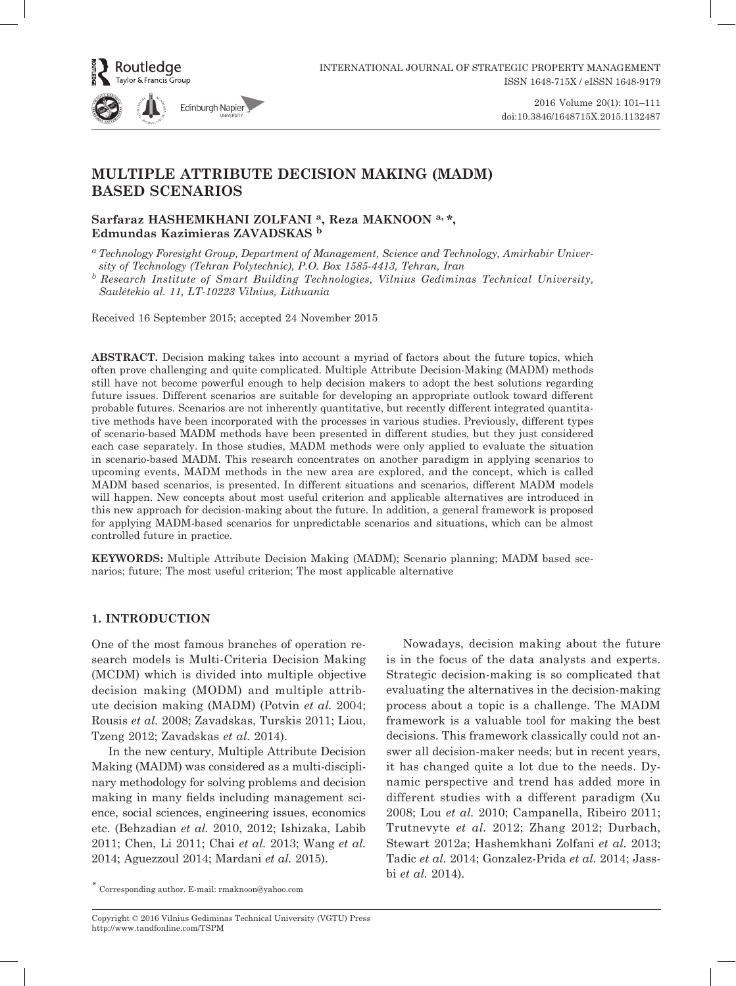

# **MULTIPLE ATTRIBUTE DECISION MAKING (MADM) BASED SCENARIOS**

# **Sarfaraz HASHEMKHANI ZOLFANI a, Reza MAKNOON a, \*, Edmundas Kazimieras ZAVADSKAS <sup>b</sup>**

*a Technology Foresight Group, Department of Management, Science and Technology, Amirkabir University of Technology (Tehran Polytechnic), P.O. Box 1585-4413, Tehran, Iran*

*b Research Institute of Smart Building Technologies, Vilnius Gediminas Technical University, Saulėtekio al. 11, LT-10223 Vilnius, Lithuania*

Received 16 September 2015; accepted 24 November 2015

**ABSTRACT.** Decision making takes into account a myriad of factors about the future topics, which often prove challenging and quite complicated. Multiple Attribute Decision-Making (MADM) methods still have not become powerful enough to help decision makers to adopt the best solutions regarding future issues. Different scenarios are suitable for developing an appropriate outlook toward different probable futures. Scenarios are not inherently quantitative, but recently different integrated quantitative methods have been incorporated with the processes in various studies. Previously, different types of scenario-based MADM methods have been presented in different studies, but they just considered each case separately. In those studies, MADM methods were only applied to evaluate the situation in scenario-based MADM. This research concentrates on another paradigm in applying scenarios to upcoming events, MADM methods in the new area are explored, and the concept, which is called MADM based scenarios, is presented. In different situations and scenarios, different MADM models will happen. New concepts about most useful criterion and applicable alternatives are introduced in this new approach for decision-making about the future. In addition, a general framework is proposed for applying MADM-based scenarios for unpredictable scenarios and situations, which can be almost controlled future in practice.

**KEYWORDS:** Multiple Attribute Decision Making (MADM); Scenario planning; MADM based scenarios; future; The most useful criterion; The most applicable alternative

# **1. INTRODUCTION**

One of the most famous branches of operation research models is Multi-Criteria Decision Making (MCDM) which is divided into multiple objective decision making (MODM) and multiple attribute decision making (MADM) (Potvin *et al.* 2004; Rousis *et al.* 2008; Zavadskas, Turskis 2011; Liou, Tzeng 2012; Zavadskas *et al.* 2014).

In the new century, Multiple Attribute Decision Making (MADM) was considered as a multi-disciplinary methodology for solving problems and decision making in many fields including management science, social sciences, engineering issues, economics etc. (Behzadian *et al.* 2010, 2012; Ishizaka, Labib 2011; Chen, Li 2011; Chai *et al.* 2013; Wang *et al.* 2014; Aguezzoul 2014; Mardani *et al.* 2015).

\* Corresponding author. E-mail: rmaknoon@yahoo.com

Nowadays, decision making about the future is in the focus of the data analysts and experts. Strategic decision-making is so complicated that evaluating the alternatives in the decision-making process about a topic is a challenge. The MADM framework is a valuable tool for making the best decisions. This framework classically could not answer all decision-maker needs; but in recent years, it has changed quite a lot due to the needs. Dynamic perspective and trend has added more in different studies with a different paradigm (Xu 2008; Lou *et al.* 2010; Campanella, Ribeiro 2011; Trutnevyte *et al.* 2012; Zhang 2012; Durbach, Stewart 2012a; Hashemkhani Zolfani *et al.* 2013; Tadic *et al.* 2014; Gonzalez-Prida *et al.* 2014; Jassbi *et al.* 2014).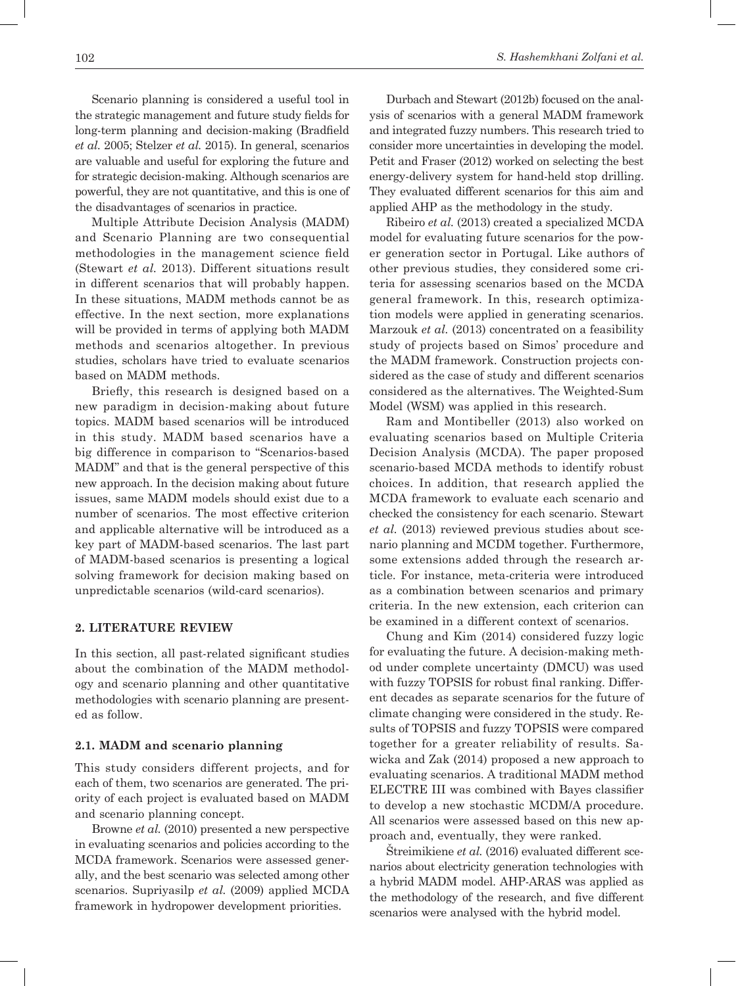Scenario planning is considered a useful tool in the strategic management and future study fields for long-term planning and decision-making (Bradfield *et al.* 2005; Stelzer *et al.* 2015). In general, scenarios are valuable and useful for exploring the future and for strategic decision-making. Although scenarios are powerful, they are not quantitative, and this is one of the disadvantages of scenarios in practice.

Multiple Attribute Decision Analysis (MADM) and Scenario Planning are two consequential methodologies in the management science field (Stewart *et al.* 2013). Different situations result in different scenarios that will probably happen. In these situations, MADM methods cannot be as effective. In the next section, more explanations will be provided in terms of applying both MADM methods and scenarios altogether. In previous studies, scholars have tried to evaluate scenarios based on MADM methods.

Briefly, this research is designed based on a new paradigm in decision-making about future topics. MADM based scenarios will be introduced in this study. MADM based scenarios have a big difference in comparison to "Scenarios-based MADM" and that is the general perspective of this new approach. In the decision making about future issues, same MADM models should exist due to a number of scenarios. The most effective criterion and applicable alternative will be introduced as a key part of MADM-based scenarios. The last part of MADM-based scenarios is presenting a logical solving framework for decision making based on unpredictable scenarios (wild-card scenarios).

### **2. LITERATURE REVIEW**

In this section, all past-related significant studies about the combination of the MADM methodology and scenario planning and other quantitative methodologies with scenario planning are presented as follow.

### **2.1. MADM and scenario planning**

This study considers different projects, and for each of them, two scenarios are generated. The priority of each project is evaluated based on MADM and scenario planning concept.

Browne *et al.* (2010) presented a new perspective in evaluating scenarios and policies according to the MCDA framework. Scenarios were assessed generally, and the best scenario was selected among other scenarios. Supriyasilp *et al.* (2009) applied MCDA framework in hydropower development priorities.

Durbach and Stewart (2012b) focused on the analysis of scenarios with a general MADM framework and integrated fuzzy numbers. This research tried to consider more uncertainties in developing the model. Petit and Fraser (2012) worked on selecting the best energy-delivery system for hand-held stop drilling. They evaluated different scenarios for this aim and applied AHP as the methodology in the study.

Ribeiro *et al.* (2013) created a specialized MCDA model for evaluating future scenarios for the power generation sector in Portugal. Like authors of other previous studies, they considered some criteria for assessing scenarios based on the MCDA general framework. In this, research optimization models were applied in generating scenarios. Marzouk *et al.* (2013) concentrated on a feasibility study of projects based on Simos' procedure and the MADM framework. Construction projects considered as the case of study and different scenarios considered as the alternatives. The Weighted-Sum Model (WSM) was applied in this research.

Ram and Montibeller (2013) also worked on evaluating scenarios based on Multiple Criteria Decision Analysis (MCDA). The paper proposed scenario-based MCDA methods to identify robust choices. In addition, that research applied the MCDA framework to evaluate each scenario and checked the consistency for each scenario. Stewart *et al.* (2013) reviewed previous studies about scenario planning and MCDM together. Furthermore, some extensions added through the research article. For instance, meta-criteria were introduced as a combination between scenarios and primary criteria. In the new extension, each criterion can be examined in a different context of scenarios.

Chung and Kim (2014) considered fuzzy logic for evaluating the future. A decision-making method under complete uncertainty (DMCU) was used with fuzzy TOPSIS for robust final ranking. Different decades as separate scenarios for the future of climate changing were considered in the study. Results of TOPSIS and fuzzy TOPSIS were compared together for a greater reliability of results. Sawicka and Zak (2014) proposed a new approach to evaluating scenarios. A traditional MADM method ELECTRE III was combined with Bayes classifier to develop a new stochastic MCDM/A procedure. All scenarios were assessed based on this new approach and, eventually, they were ranked.

Štreimikiene *et al.* (2016) evaluated different scenarios about electricity generation technologies with a hybrid MADM model. AHP-ARAS was applied as the methodology of the research, and five different scenarios were analysed with the hybrid model.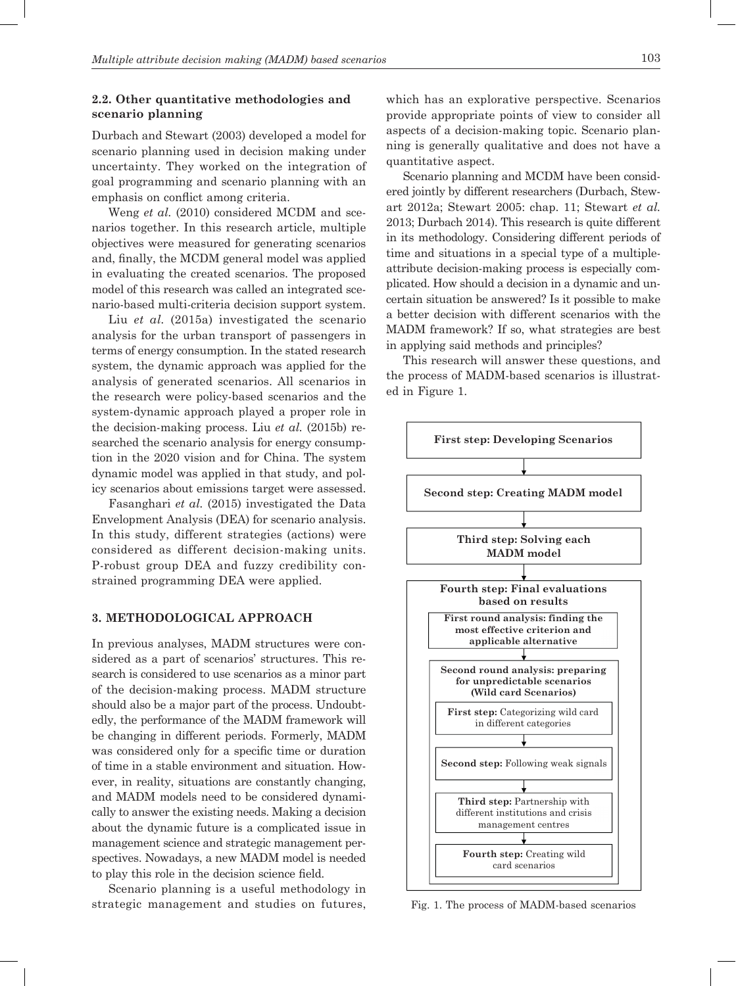# **2.2. Other quantitative methodologies and scenario planning**

Durbach and Stewart (2003) developed a model for scenario planning used in decision making under uncertainty. They worked on the integration of goal programming and scenario planning with an emphasis on conflict among criteria.

Weng *et al.* (2010) considered MCDM and scenarios together. In this research article, multiple objectives were measured for generating scenarios and, finally, the MCDM general model was applied in evaluating the created scenarios. The proposed model of this research was called an integrated scenario-based multi-criteria decision support system.

Liu *et al.* (2015a) investigated the scenario analysis for the urban transport of passengers in terms of energy consumption. In the stated research system, the dynamic approach was applied for the analysis of generated scenarios. All scenarios in the research were policy-based scenarios and the system-dynamic approach played a proper role in the decision-making process. Liu *et al.* (2015b) researched the scenario analysis for energy consumption in the 2020 vision and for China. The system dynamic model was applied in that study, and policy scenarios about emissions target were assessed.

Fasanghari *et al.* (2015) investigated the Data Envelopment Analysis (DEA) for scenario analysis. In this study, different strategies (actions) were considered as different decision-making units. P-robust group DEA and fuzzy credibility constrained programming DEA were applied.

### **3. METHODOLOGICAL APPROACH**

In previous analyses, MADM structures were considered as a part of scenarios' structures. This research is considered to use scenarios as a minor part of the decision-making process. MADM structure should also be a major part of the process. Undoubtedly, the performance of the MADM framework will be changing in different periods. Formerly, MADM was considered only for a specific time or duration of time in a stable environment and situation. However, in reality, situations are constantly changing, and MADM models need to be considered dynamically to answer the existing needs. Making a decision about the dynamic future is a complicated issue in management science and strategic management perspectives. Nowadays, a new MADM model is needed to play this role in the decision science field.

Scenario planning is a useful methodology in strategic management and studies on futures,

which has an explorative perspective. Scenarios provide appropriate points of view to consider all aspects of a decision-making topic. Scenario planning is generally qualitative and does not have a quantitative aspect.

Scenario planning and MCDM have been considered jointly by different researchers (Durbach, Stewart 2012a; Stewart 2005: chap. 11; Stewart *et al.* 2013; Durbach 2014). This research is quite different in its methodology. Considering different periods of time and situations in a special type of a multipleattribute decision-making process is especially complicated. How should a decision in a dynamic and uncertain situation be answered? Is it possible to make a better decision with different scenarios with the MADM framework? If so, what strategies are best in applying said methods and principles?

This research will answer these questions, and the process of MADM-based scenarios is illustrated in Figure 1.



Fig. 1. The process of MADM-based scenarios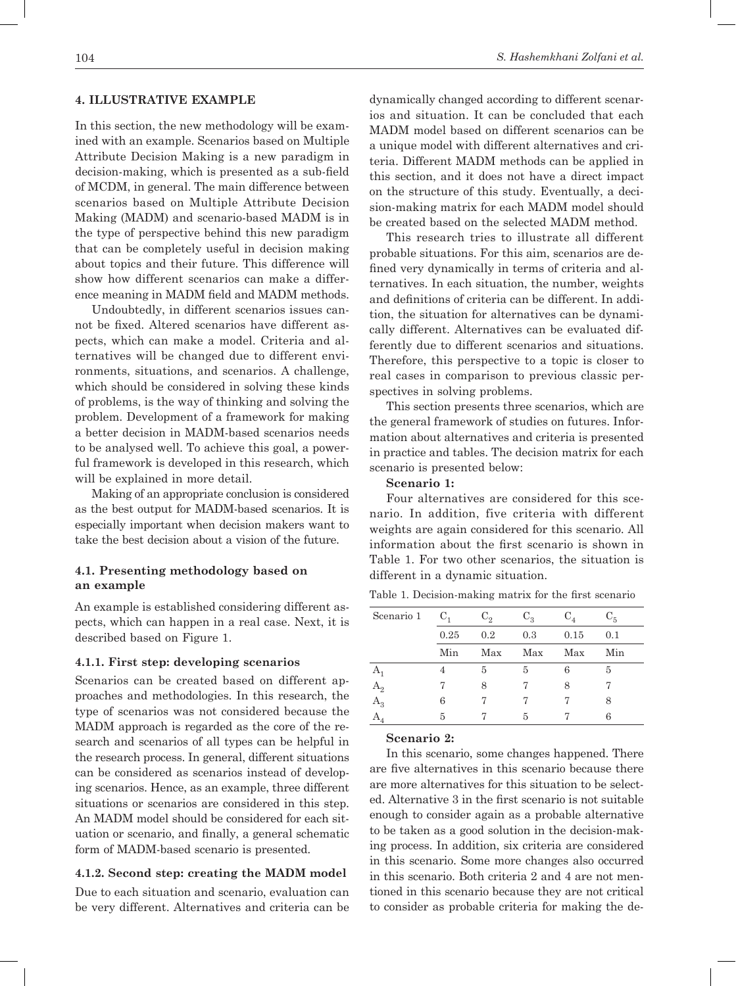### **4. ILLUSTRATIVE EXAMPLE**

In this section, the new methodology will be examined with an example. Scenarios based on Multiple Attribute Decision Making is a new paradigm in decision-making, which is presented as a sub-field of MCDM, in general. The main difference between scenarios based on Multiple Attribute Decision Making (MADM) and scenario-based MADM is in the type of perspective behind this new paradigm that can be completely useful in decision making about topics and their future. This difference will show how different scenarios can make a difference meaning in MADM field and MADM methods.

Undoubtedly, in different scenarios issues cannot be fixed. Altered scenarios have different aspects, which can make a model. Criteria and alternatives will be changed due to different environments, situations, and scenarios. A challenge, which should be considered in solving these kinds of problems, is the way of thinking and solving the problem. Development of a framework for making a better decision in MADM-based scenarios needs to be analysed well. To achieve this goal, a powerful framework is developed in this research, which will be explained in more detail.

Making of an appropriate conclusion is considered as the best output for MADM-based scenarios. It is especially important when decision makers want to take the best decision about a vision of the future.

### **4.1. Presenting methodology based on an example**

An example is established considering different aspects, which can happen in a real case. Next, it is described based on Figure 1.

# **4.1.1. First step: developing scenarios**

Scenarios can be created based on different approaches and methodologies. In this research, the type of scenarios was not considered because the MADM approach is regarded as the core of the research and scenarios of all types can be helpful in the research process. In general, different situations can be considered as scenarios instead of developing scenarios. Hence, as an example, three different situations or scenarios are considered in this step. An MADM model should be considered for each situation or scenario, and finally, a general schematic form of MADM-based scenario is presented.

### **4.1.2. Second step: creating the MADM model**

Due to each situation and scenario, evaluation can be very different. Alternatives and criteria can be

dynamically changed according to different scenarios and situation. It can be concluded that each MADM model based on different scenarios can be a unique model with different alternatives and criteria. Different MADM methods can be applied in this section, and it does not have a direct impact on the structure of this study. Eventually, a decision-making matrix for each MADM model should be created based on the selected MADM method.

This research tries to illustrate all different probable situations. For this aim, scenarios are defined very dynamically in terms of criteria and alternatives. In each situation, the number, weights and definitions of criteria can be different. In addition, the situation for alternatives can be dynamically different. Alternatives can be evaluated differently due to different scenarios and situations. Therefore, this perspective to a topic is closer to real cases in comparison to previous classic perspectives in solving problems.

This section presents three scenarios, which are the general framework of studies on futures. Information about alternatives and criteria is presented in practice and tables. The decision matrix for each scenario is presented below:

## **Scenario 1:**

Four alternatives are considered for this scenario. In addition, five criteria with different weights are again considered for this scenario. All information about the first scenario is shown in Table 1. For two other scenarios, the situation is different in a dynamic situation.

| Scenario 1          | $C_{1}$ | $C_2$ | $C_3$ | $C_4$ | $C_{5}$ |
|---------------------|---------|-------|-------|-------|---------|
|                     | 0.25    | 0.2   | 0.3   | 0.15  | 0.1     |
|                     | Min     | Max   | Max   | Max   | Min     |
| $A_1$               |         | 5     | 5     | 6     | 5       |
| $A_{2}$             |         | 8     |       | 8     |         |
| $\mathrm{A}^{}_{3}$ | 6       |       |       |       | 8       |
|                     | 5       |       | 5     |       | 6       |

Table 1. Decision-making matrix for the first scenario

#### **Scenario 2:**

In this scenario, some changes happened. There are five alternatives in this scenario because there are more alternatives for this situation to be selected. Alternative 3 in the first scenario is not suitable enough to consider again as a probable alternative to be taken as a good solution in the decision-making process. In addition, six criteria are considered in this scenario. Some more changes also occurred in this scenario. Both criteria 2 and 4 are not mentioned in this scenario because they are not critical to consider as probable criteria for making the de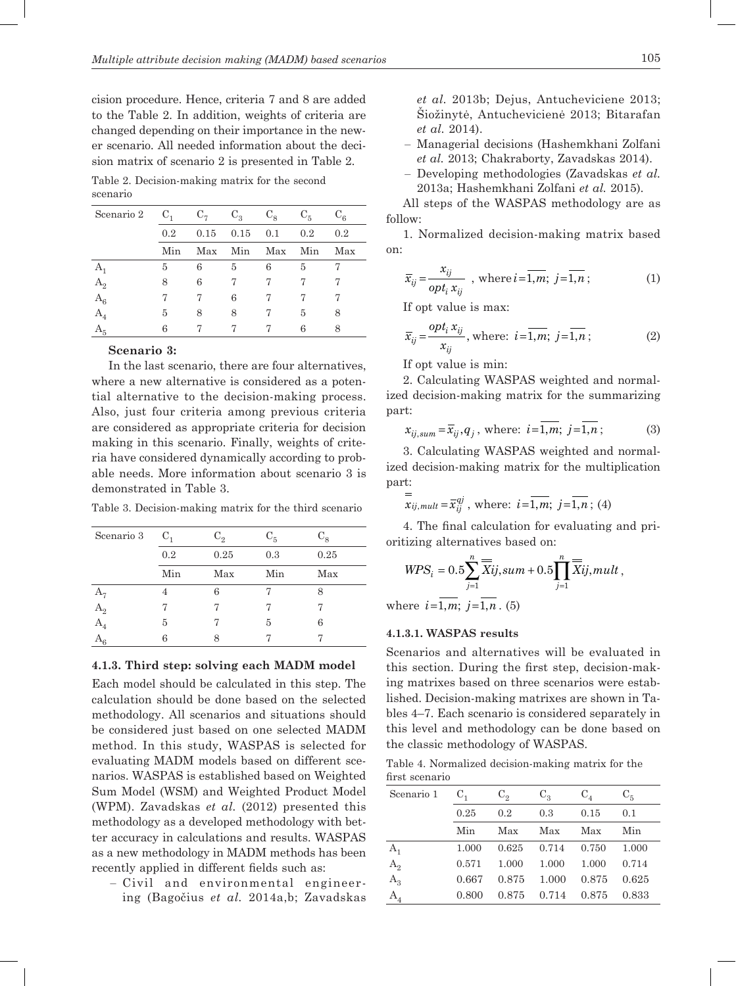cision procedure. Hence, criteria 7 and 8 are added to the Table 2. In addition, weights of criteria are changed depending on their importance in the newer scenario. All needed information about the decision matrix of scenario 2 is presented in Table 2.

Table 2. Decision-making matrix for the second scenario

| Scenario 2 | $C_1$ | $C_7$ | $C_3$ | $C_8$ | $C_5$ | $C_6$ |
|------------|-------|-------|-------|-------|-------|-------|
|            | 0.2   | 0.15  | 0.15  | 0.1   | 0.2   | 0.2   |
|            | Min   | Max   | Min   | Max   | Min   | Max   |
| А,         | 5     | 6     | 5     | 6     | 5     |       |
| $A_{2}$    | 8     | 6     |       |       |       |       |
| $A_6$      |       |       | 6     |       |       |       |
| $A_4$      | 5     | 8     | 8     | 7     | 5     | 8     |
| $A_5$      | 6     |       |       |       | 6     | 8     |

**Scenario 3:**

In the last scenario, there are four alternatives, where a new alternative is considered as a potential alternative to the decision-making process. Also, just four criteria among previous criteria are considered as appropriate criteria for decision making in this scenario. Finally, weights of criteria have considered dynamically according to probable needs. More information about scenario 3 is demonstrated in Table 3.

Table 3. Decision-making matrix for the third scenario

| Scenario 3 | C <sub>1</sub> | $C_2$ | $C_{5}$ | $C_8$ |
|------------|----------------|-------|---------|-------|
|            | 0.2            | 0.25  | 0.3     | 0.25  |
|            | Min            | Max   | Min     | Max   |
| $A_7$      | 4              | 6     |         |       |
| $A_2$      |                |       |         |       |
| $A_4$      | 5              |       | 5       | 6     |
| $A_6$      | 6              |       |         |       |

### **4.1.3. Third step: solving each MADM model**

Each model should be calculated in this step. The calculation should be done based on the selected methodology. All scenarios and situations should be considered just based on one selected MADM method. In this study, WASPAS is selected for evaluating MADM models based on different scenarios. WASPAS is established based on Weighted Sum Model (WSM) and Weighted Product Model (WPM). Zavadskas *et al.* (2012) presented this methodology as a developed methodology with better accuracy in calculations and results. WASPAS as a new methodology in MADM methods has been recently applied in different fields such as:

– Civil and environmental engineering (Bagočius *et al.* 2014a,b; Zavadskas *et al.* 2013b; Dejus, Antucheviciene 2013; Šiožinytė, Antuchevicienė 2013; Bitarafan *et al.* 2014).

- Managerial decisions (Hashemkhani Zolfani *et al.* 2013; Chakraborty, Zavadskas 2014).
- Developing methodologies (Zavadskas *et al.* 2013a; Hashemkhani Zolfani *et al.* 2015).

All steps of the WASPAS methodology are as follow:

1. Normalized decision-making matrix based on:

$$
\overline{x}_{ij} = \frac{x_{ij}}{opt_i x_{ij}} \text{ , where } i = \overline{1, m}; \ j = \overline{1, n} \tag{1}
$$

If opt value is max:

$$
\overline{x}_{ij} = \frac{opt_i x_{ij}}{x_{ij}}, \text{ where: } i = \overline{1, m}; j = \overline{1, n};
$$
 (2)

If opt value is min:

2. Calculating WASPAS weighted and normalized decision-making matrix for the summarizing part:

$$
x_{ij,sum} = \overline{x}_{ij}, q_j, \text{ where: } i = \overline{1,m}; j = \overline{1,n}; \tag{3}
$$

3. Calculating WASPAS weighted and normalized decision-making matrix for the multiplication part:

$$
\overline{x}_{ij, mult} = \overline{x}_{ij}^{qj}, \text{ where: } i = \overline{1, m}; j = \overline{1, n}; (4)
$$

4. The final calculation for evaluating and prioritizing alternatives based on:

$$
WPS_i = 0.5 \sum_{j=1}^{n} \overline{Xi}_{ij, sum} + 0.5 \prod_{j=1}^{n} \overline{Xi}_{ij, mult,
$$
  
where  $i = \overline{1, m}; j = \overline{1, n}.$  (5)

**4.1.3.1. WASPAS results**

Scenarios and alternatives will be evaluated in this section. During the first step, decision-making matrixes based on three scenarios were established. Decision-making matrixes are shown in Tables 4–7. Each scenario is considered separately in this level and methodology can be done based on the classic methodology of WASPAS.

Table 4. Normalized decision-making matrix for the first scenario

| Scenario 1     | $C_{1}$ | $C_2$ | $C_{\mathcal{R}}$ | $C_{\Lambda}$ | $C_{5}$ |
|----------------|---------|-------|-------------------|---------------|---------|
|                | 0.25    | 0.2   | 0.3               | 0.15          | 0.1     |
|                | Min     | Max   | Max               | Max           | Min     |
| $A_1$          | 1.000   | 0.625 | 0.714             | 0.750         | 1.000   |
| $A_2$          | 0.571   | 1.000 | 1.000             | 1.000         | 0.714   |
| $A_3$          | 0.667   | 0.875 | 1.000             | 0.875         | 0.625   |
| $\rm A^{}_{4}$ | 0.800   | 0.875 | 0.714             | 0.875         | 0.833   |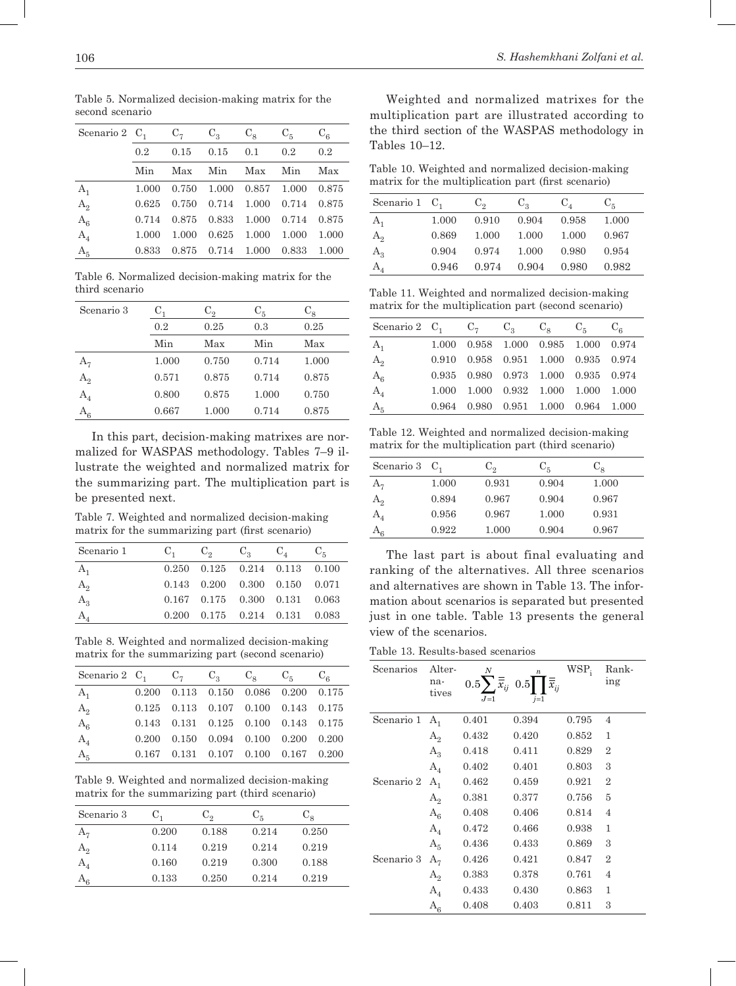Scenario 2  $C_1$   $C_7$   $C_3$   $C_8$   $C_5$   $C_6$ 0.2 0.15 0.15 0.1 0.2 0.2 Min Max Min Max Min Max  $A<sub>1</sub>$  1.000 0.750 1.000 0.857 1.000 0.875  $A_2$  0.625 0.750 0.714 1.000 0.714 0.875  $A_6$  0.714 0.875 0.833 1.000 0.714 0.875  $A_4$  1.000 1.000 0.625 1.000 1.000 1.000  $A_5$  0.833 0.875 0.714 1.000 0.833 1.000

Table 5. Normalized decision-making matrix for the second scenario

Table 6. Normalized decision-making matrix for the third scenario

| Scenario 3  | $C_1$ | $C_{2}$ | $C_{5}$ | $C_8$ |
|-------------|-------|---------|---------|-------|
|             | 0.2   | 0.25    | 0.3     | 0.25  |
|             | Min   | Max     | Min     | Max   |
| $A_7$       | 1.000 | 0.750   | 0.714   | 1.000 |
| $A_2$       | 0.571 | 0.875   | 0.714   | 0.875 |
| $A_4$       | 0.800 | 0.875   | 1.000   | 0.750 |
| $\rm A_{6}$ | 0.667 | 1.000   | 0.714   | 0.875 |

In this part, decision-making matrixes are normalized for WASPAS methodology. Tables 7–9 illustrate the weighted and normalized matrix for the summarizing part. The multiplication part is be presented next.

Table 7. Weighted and normalized decision-making matrix for the summarizing part (first scenario)

| Scenario 1     | $C_{1}$ | $C_{2}$                                 | $C_{\circ}$ | $C_{\Lambda}$ | $C_{\kappa}$ |
|----------------|---------|-----------------------------------------|-------------|---------------|--------------|
| $A_1$          |         | $0.250$ $0.125$ $0.214$ $0.113$ $0.100$ |             |               |              |
| A <sub>2</sub> |         | $0.143$ $0.200$ $0.300$ $0.150$ $0.071$ |             |               |              |
| $A_3$          |         | $0.167$ $0.175$ $0.300$ $0.131$ $0.063$ |             |               |              |
| $A_4$          |         | $0.200$ $0.175$ $0.214$ $0.131$ $0.083$ |             |               |              |

Table 8. Weighted and normalized decision-making matrix for the summarizing part (second scenario)

| Scenario 2 $C_1$ $C_7$ $C_3$ |                                                 | $C_8$ | $C_{5}$ | $C_e$ |
|------------------------------|-------------------------------------------------|-------|---------|-------|
| $A_1$                        | $0.200$ $0.113$ $0.150$ $0.086$ $0.200$ $0.175$ |       |         |       |
| $A_2$                        | $0.125$ $0.113$ $0.107$ $0.100$ $0.143$ $0.175$ |       |         |       |
| $A_6$                        | 0.143 0.131 0.125 0.100 0.143 0.175             |       |         |       |
| $A_4$                        | $0.200$ $0.150$ $0.094$ $0.100$ $0.200$ $0.200$ |       |         |       |
| $A_5$                        | $0.167$ $0.131$ $0.107$ $0.100$ $0.167$ $0.200$ |       |         |       |

Table 9. Weighted and normalized decision-making matrix for the summarizing part (third scenario)

| Scenario 3   | С,    | $C_{2}$ | C <sub>5</sub> | $C_{8}$ |  |
|--------------|-------|---------|----------------|---------|--|
| $\rm A_7$    | 0.200 | 0.188   | 0.214          | 0.250   |  |
| $A_2$        | 0.114 | 0.219   | 0.214          | 0.219   |  |
| $\rm A^{}_4$ | 0.160 | 0.219   | 0.300          | 0.188   |  |
| $A_6$        | 0.133 | 0.250   | 0.214          | 0.219   |  |
|              |       |         |                |         |  |

Weighted and normalized matrixes for the multiplication part are illustrated according to the third section of the WASPAS methodology in Tables 10–12.

Table 10. Weighted and normalized decision-making matrix for the multiplication part (first scenario)

| Scenario 1 $C_1$ |       | $C_{\Omega}$ | $C_{\mathcal{D}}$ | $C_{\Lambda}$ | $C_{\kappa}$ |
|------------------|-------|--------------|-------------------|---------------|--------------|
| $A_1$            | 1.000 | 0.910        | 0.904             | 0.958         | 1.000        |
| $A_{2}$          | 0.869 | 1.000        | 1.000             | 1.000         | 0.967        |
| $A_3$            | 0.904 | 0.974        | 1.000             | 0.980         | 0.954        |
| A <sub>4</sub>   | 0.946 | 0.974        | 0.904             | 0.980         | 0.982        |

Table 11. Weighted and normalized decision-making matrix for the multiplication part (second scenario)

| Scenario 2 $C_1$ $C_7$ $C_3$ $C_8$ $C_5$ |  |                                          | $C_{\mathcal{C}}$ |
|------------------------------------------|--|------------------------------------------|-------------------|
| $A_1$                                    |  | 1.000  0.958  1.000  0.985  1.000  0.974 |                   |
| $A_2$                                    |  | 0.910 0.958 0.951 1.000 0.935 0.974      |                   |
| $A_6$                                    |  | 0.935 0.980 0.973 1.000 0.935 0.974      |                   |
| $A_4$                                    |  | 1.000 1.000 0.932 1.000 1.000 1.000      |                   |
| $A_5$                                    |  | 0.964 0.980 0.951 1.000 0.964 1.000      |                   |

Table 12. Weighted and normalized decision-making matrix for the multiplication part (third scenario)

| Scenario 3                 | $C_{1}$ | $C_{2}$ | $C_{5}$ | $C_8$ |
|----------------------------|---------|---------|---------|-------|
| $\rm A_7$                  | 1.000   | 0.931   | 0.904   | 1.000 |
| $\rm A^{}_{2}$             | 0.894   | 0.967   | 0.904   | 0.967 |
| $\rm A^{}_4$               | 0.956   | 0.967   | 1.000   | 0.931 |
| ${\rm A}^{\vphantom{*}}_6$ | 0.922   | 1.000   | 0.904   | 0.967 |

The last part is about final evaluating and ranking of the alternatives. All three scenarios and alternatives are shown in Table 13. The information about scenarios is separated but presented just in one table. Table 13 presents the general view of the scenarios.

Table 13. Results-based scenarios

| Scenarios  | Alter-<br>na-<br>tives | N<br>$\sum_{i} \overline{\overline{x}}_{ij}$<br>0.5<br>$J=1$ | $\boldsymbol{n}$<br>$\bar{\bar{x}}_{ij}$<br>$0.5\,$<br>$j=1$ | WSP <sub>i</sub> | Rank-<br>ing   |
|------------|------------------------|--------------------------------------------------------------|--------------------------------------------------------------|------------------|----------------|
| Scenario 1 | $A_{1}$                | 0.401                                                        | 0.394                                                        | 0.795            | $\overline{4}$ |
|            | A <sub>2</sub>         | 0.432                                                        | 0.420                                                        | 0.852            | 1              |
|            | $A_3$                  | 0.418                                                        | 0.411                                                        | 0.829            | $\overline{2}$ |
|            | $A_4$                  | 0.402                                                        | 0.401                                                        | 0.803            | 3              |
| Scenario 2 | $A_{1}$                | 0.462                                                        | 0.459                                                        | 0.921            | $\overline{2}$ |
|            | А.,                    | 0.381                                                        | 0.377                                                        | 0.756            | 5              |
|            | $A_6$                  | 0.408                                                        | 0.406                                                        | 0.814            | $\overline{4}$ |
|            | $A_4$                  | 0.472                                                        | 0.466                                                        | 0.938            | $\mathbf{1}$   |
|            | $A_{5}$                | 0.436                                                        | 0.433                                                        | 0.869            | 3              |
| Scenario 3 | $A_7$                  | 0.426                                                        | 0.421                                                        | 0.847            | $\overline{2}$ |
|            | $A_{2}$                | 0.383                                                        | 0.378                                                        | 0.761            | $\overline{4}$ |
|            | $A_4$                  | 0.433                                                        | 0.430                                                        | 0.863            | 1              |
|            | $\mathbf{A}_6$         | 0.408                                                        | 0.403                                                        | 0.811            | 3              |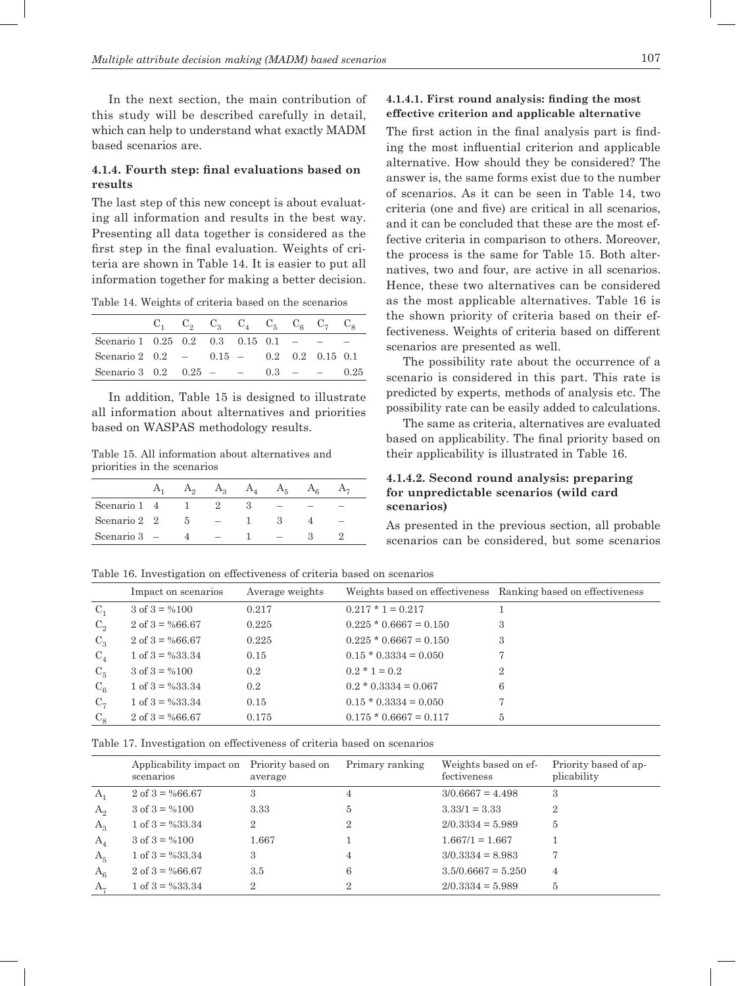In the next section, the main contribution of this study will be described carefully in detail, which can help to understand what exactly MADM based scenarios are.

# **4.1.4. Fourth step: final evaluations based on results**

The last step of this new concept is about evaluating all information and results in the best way. Presenting all data together is considered as the first step in the final evaluation. Weights of criteria are shown in Table 14. It is easier to put all information together for making a better decision.

Table 14. Weights of criteria based on the scenarios

|                                                      |  |  |  | $C_1$ $C_2$ $C_3$ $C_4$ $C_5$ $C_6$ $C_7$ $C_8$ |  |
|------------------------------------------------------|--|--|--|-------------------------------------------------|--|
| Scenario 1 $0.25$ $0.2$ $0.3$ $0.15$ $0.1$ $ -$      |  |  |  |                                                 |  |
| Scenario 2 $0.2$ - $0.15$ - $0.2$ $0.2$ $0.15$ $0.1$ |  |  |  |                                                 |  |
| Scenario 3 0.2 0.25 - - 0.3 - - 0.25                 |  |  |  |                                                 |  |

In addition, Table 15 is designed to illustrate all information about alternatives and priorities based on WASPAS methodology results.

Table 15. All information about alternatives and priorities in the scenarios

|                | $A_{1}$ | $A_2$ | $A_2$ | $A_{\Lambda}$ | $A_5$ |  |
|----------------|---------|-------|-------|---------------|-------|--|
| Scenario 1 4   |         |       |       |               |       |  |
| Scenario 2 2   |         | h     |       |               |       |  |
| Scenario $3 -$ |         |       |       |               |       |  |

# **4.1.4.1. First round analysis: finding the most effective criterion and applicable alternative**

The first action in the final analysis part is finding the most influential criterion and applicable alternative. How should they be considered? The answer is, the same forms exist due to the number of scenarios. As it can be seen in Table 14, two criteria (one and five) are critical in all scenarios, and it can be concluded that these are the most effective criteria in comparison to others. Moreover, the process is the same for Table 15. Both alternatives, two and four, are active in all scenarios. Hence, these two alternatives can be considered as the most applicable alternatives. Table 16 is the shown priority of criteria based on their effectiveness. Weights of criteria based on different scenarios are presented as well.

The possibility rate about the occurrence of a scenario is considered in this part. This rate is predicted by experts, methods of analysis etc. The possibility rate can be easily added to calculations.

The same as criteria, alternatives are evaluated based on applicability. The final priority based on their applicability is illustrated in Table 16.

# **4.1.4.2. Second round analysis: preparing for unpredictable scenarios (wild card scenarios)**

As presented in the previous section, all probable scenarios can be considered, but some scenarios

Table 16. Investigation on effectiveness of criteria based on scenarios

|       | Impact on scenarios        | Average weights |                          | Weights based on effectiveness Ranking based on effectiveness |
|-------|----------------------------|-----------------|--------------------------|---------------------------------------------------------------|
| $C_1$ | $3 \text{ of } 3 = 96100$  | 0.217           | $0.217 * 1 = 0.217$      |                                                               |
| $C_2$ | 2 of $3 = \%66.67$         | 0.225           | $0.225 * 0.6667 = 0.150$ | 3                                                             |
| $C_3$ | 2 of $3 = \%66.67$         | 0.225           | $0.225 * 0.6667 = 0.150$ | 3                                                             |
| $C_4$ | 1 of $3 = 9633.34$         | 0.15            | $0.15 * 0.3334 = 0.050$  | 7                                                             |
| $C_5$ | $3 \text{ of } 3 = \% 100$ | 0.2             | $0.2 * 1 = 0.2$          | 2                                                             |
| $C_6$ | 1 of $3 = 9633.34$         | 0.2             | $0.2 * 0.3334 = 0.067$   | 6                                                             |
| $C_7$ | 1 of $3 = 9633.34$         | 0.15            | $0.15 * 0.3334 = 0.050$  |                                                               |
| $C_8$ | 2 of $3 = \%66.67$         | 0.175           | $0.175 * 0.6667 = 0.117$ | 5                                                             |

|  | Table 17. Investigation on effectiveness of criteria based on scenarios |  |  |  |  |
|--|-------------------------------------------------------------------------|--|--|--|--|
|  |                                                                         |  |  |  |  |
|  |                                                                         |  |  |  |  |

|                             | Applicability impact on<br>scenarios | Priority based on<br>average | Primary ranking | Weights based on ef-<br>fectiveness | Priority based of ap-<br>plicability |
|-----------------------------|--------------------------------------|------------------------------|-----------------|-------------------------------------|--------------------------------------|
| $A_1$                       | 2 of $3 = \%66.67$                   | 3                            | 4               | $3/0.6667 = 4.498$                  | 3                                    |
| $A_2$                       | $3 \text{ of } 3 = 96100$            | 3.33                         | 5.              | $3.33/1 = 3.33$                     |                                      |
| $A_3$                       | 1 of $3 = 9633.34$                   | 2                            |                 | $2/0.3334 = 5.989$                  | 5                                    |
| $A_{\scriptscriptstyle{A}}$ | $3 \text{ of } 3 = 96100$            | 1.667                        |                 | $1.667/1 = 1.667$                   |                                      |
| $A_{5}$                     | 1 of $3 = 9633.34$                   | 3                            |                 | $3/0.3334 = 8.983$                  |                                      |
| $A_6$                       | 2 of $3 = \%66.67$                   | 3.5                          | 6               | $3.5/0.6667 = 5.250$                | 4                                    |
| $A_{\sigma}$                | 1 of $3 = 9633.34$                   | $\Omega$                     |                 | $2/0.3334 = 5.989$                  | Ð                                    |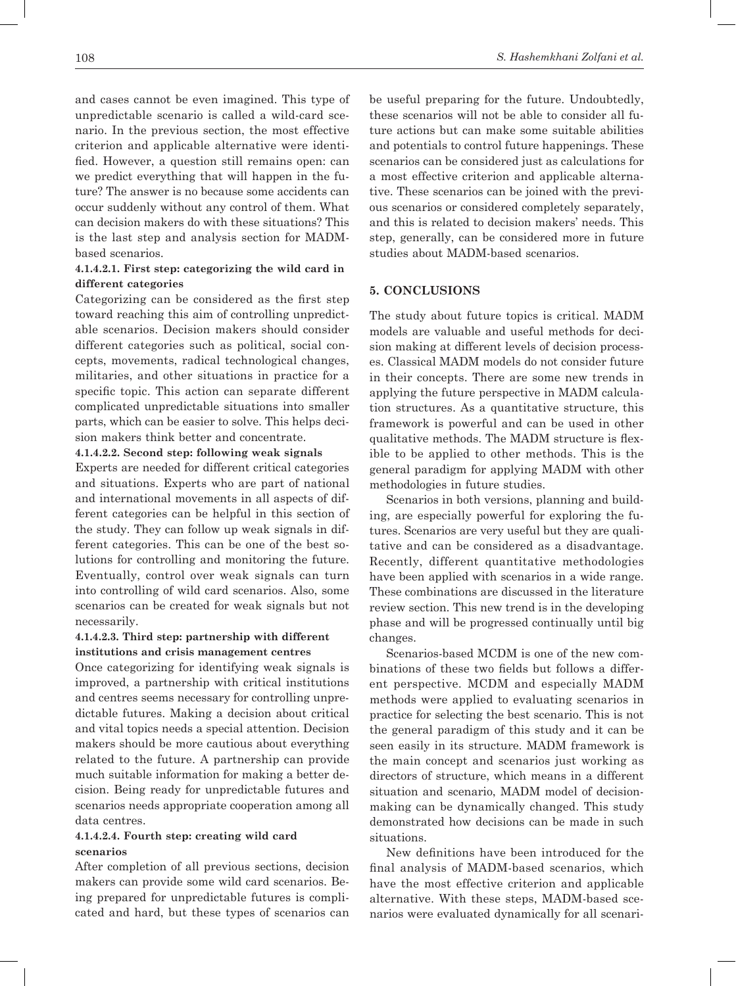and cases cannot be even imagined. This type of unpredictable scenario is called a wild-card scenario. In the previous section, the most effective criterion and applicable alternative were identified. However, a question still remains open: can we predict everything that will happen in the future? The answer is no because some accidents can occur suddenly without any control of them. What can decision makers do with these situations? This is the last step and analysis section for MADMbased scenarios.

# **4.1.4.2.1. First step: categorizing the wild card in different categories**

Categorizing can be considered as the first step toward reaching this aim of controlling unpredictable scenarios. Decision makers should consider different categories such as political, social concepts, movements, radical technological changes, militaries, and other situations in practice for a specific topic. This action can separate different complicated unpredictable situations into smaller parts, which can be easier to solve. This helps decision makers think better and concentrate.

#### **4.1.4.2.2. Second step: following weak signals**

Experts are needed for different critical categories and situations. Experts who are part of national and international movements in all aspects of different categories can be helpful in this section of the study. They can follow up weak signals in different categories. This can be one of the best solutions for controlling and monitoring the future. Eventually, control over weak signals can turn into controlling of wild card scenarios. Also, some scenarios can be created for weak signals but not necessarily.

# **4.1.4.2.3. Third step: partnership with different institutions and crisis management centres**

Once categorizing for identifying weak signals is improved, a partnership with critical institutions and centres seems necessary for controlling unpredictable futures. Making a decision about critical and vital topics needs a special attention. Decision makers should be more cautious about everything related to the future. A partnership can provide much suitable information for making a better decision. Being ready for unpredictable futures and scenarios needs appropriate cooperation among all data centres.

### **4.1.4.2.4. Fourth step: creating wild card scenarios**

After completion of all previous sections, decision makers can provide some wild card scenarios. Being prepared for unpredictable futures is complicated and hard, but these types of scenarios can be useful preparing for the future. Undoubtedly, these scenarios will not be able to consider all future actions but can make some suitable abilities and potentials to control future happenings. These scenarios can be considered just as calculations for a most effective criterion and applicable alternative. These scenarios can be joined with the previous scenarios or considered completely separately, and this is related to decision makers' needs. This step, generally, can be considered more in future studies about MADM-based scenarios.

### **5. CONCLUSIONS**

The study about future topics is critical. MADM models are valuable and useful methods for decision making at different levels of decision processes. Classical MADM models do not consider future in their concepts. There are some new trends in applying the future perspective in MADM calculation structures. As a quantitative structure, this framework is powerful and can be used in other qualitative methods. The MADM structure is flexible to be applied to other methods. This is the general paradigm for applying MADM with other methodologies in future studies.

Scenarios in both versions, planning and building, are especially powerful for exploring the futures. Scenarios are very useful but they are qualitative and can be considered as a disadvantage. Recently, different quantitative methodologies have been applied with scenarios in a wide range. These combinations are discussed in the literature review section. This new trend is in the developing phase and will be progressed continually until big changes.

Scenarios-based MCDM is one of the new combinations of these two fields but follows a different perspective. MCDM and especially MADM methods were applied to evaluating scenarios in practice for selecting the best scenario. This is not the general paradigm of this study and it can be seen easily in its structure. MADM framework is the main concept and scenarios just working as directors of structure, which means in a different situation and scenario, MADM model of decisionmaking can be dynamically changed. This study demonstrated how decisions can be made in such situations.

New definitions have been introduced for the final analysis of MADM-based scenarios, which have the most effective criterion and applicable alternative. With these steps, MADM-based scenarios were evaluated dynamically for all scenari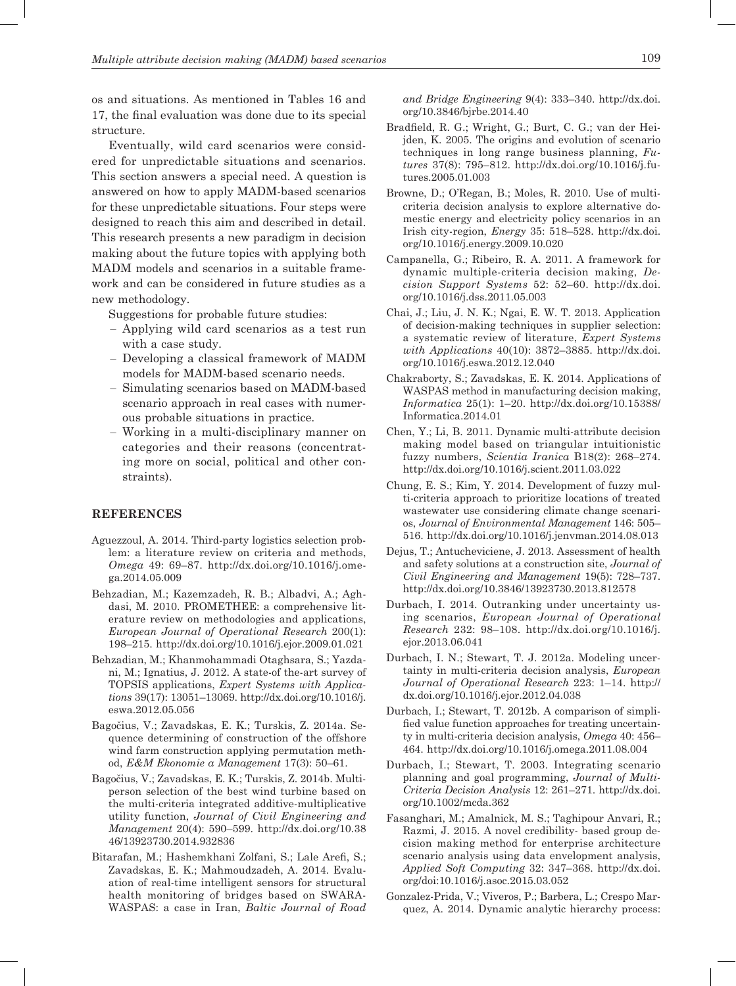os and situations. As mentioned in Tables 16 and 17, the final evaluation was done due to its special structure.

Eventually, wild card scenarios were considered for unpredictable situations and scenarios. This section answers a special need. A question is answered on how to apply MADM-based scenarios for these unpredictable situations. Four steps were designed to reach this aim and described in detail. This research presents a new paradigm in decision making about the future topics with applying both MADM models and scenarios in a suitable framework and can be considered in future studies as a new methodology.

Suggestions for probable future studies:

- Applying wild card scenarios as a test run with a case study.
- Developing a classical framework of MADM models for MADM-based scenario needs.
- Simulating scenarios based on MADM-based scenario approach in real cases with numerous probable situations in practice.
- Working in a multi-disciplinary manner on categories and their reasons (concentrating more on social, political and other constraints).

### **REFERENCES**

- Aguezzoul, A. 2014. Third-party logistics selection problem: a literature review on criteria and methods, *Omega* 49: 69–87. http://dx.doi.org/10.1016/j.omega.2014.05.009
- Behzadian, M.; Kazemzadeh, R. B.; Albadvi, A.; Aghdasi, M. 2010. PROMETHEE: a comprehensive literature review on methodologies and applications, *European Journal of Operational Research* 200(1): 198–215. http://dx.doi.org/10.1016/j.ejor.2009.01.021
- Behzadian, M.; Khanmohammadi Otaghsara, S.; Yazdani, M.; Ignatius, J. 2012. A state-of the-art survey of TOPSIS applications, *Expert Systems with Applications* 39(17): 13051–13069. http://dx.doi.org/10.1016/j. eswa.2012.05.056
- Bagočius, V.; Zavadskas, E. K.; Turskis, Z. 2014a. Sequence determining of construction of the offshore wind farm construction applying permutation method, *E&M Ekonomie a Management* 17(3): 50–61.
- Bagočius, V.; Zavadskas, E. K.; Turskis, Z. 2014b. Multiperson selection of the best wind turbine based on the multi-criteria integrated additive-multiplicative utility function, *Journal of Civil Engineering and Management* 20(4): 590–599. http://dx.doi.org/10.38 46/13923730.2014.932836
- Bitarafan, M.; Hashemkhani Zolfani, S.; Lale Arefi, S.; Zavadskas, E. K.; Mahmoudzadeh, A. 2014. Evaluation of real-time intelligent sensors for structural health monitoring of bridges based on SWARA-WASPAS: a case in Iran, *Baltic Journal of Road*

*and Bridge Engineering* 9(4): 333–340. http://dx.doi. org/10.3846/bjrbe.2014.40

- Bradfield, R. G.; Wright, G.; Burt, C. G.; van der Heijden, K. 2005. The origins and evolution of scenario techniques in long range business planning, *Futures* 37(8): 795–812. http://dx.doi.org/10.1016/j.futures.2005.01.003
- Browne, D.; O'Regan, B.; Moles, R. 2010. Use of multicriteria decision analysis to explore alternative domestic energy and electricity policy scenarios in an Irish city-region, *Energy* 35: 518–528. http://dx.doi. org/10.1016/j.energy.2009.10.020
- Campanella, G.; Ribeiro, R. A. 2011. A framework for dynamic multiple-criteria decision making, *Decision Support Systems* 52: 52–60. http://dx.doi. org/10.1016/j.dss.2011.05.003
- Chai, J.; Liu, J. N. K.; Ngai, E. W. T. 2013. Application of decision-making techniques in supplier selection: a systematic review of literature, *Expert Systems with Applications* 40(10): 3872–3885. http://dx.doi. org/10.1016/j.eswa.2012.12.040
- Chakraborty, S.; Zavadskas, E. K. 2014. Applications of WASPAS method in manufacturing decision making, *Informatica* 25(1): 1–20. http://dx.doi.org/10.15388/ Informatica.2014.01
- Chen, Y.; Li, B. 2011. Dynamic multi-attribute decision making model based on triangular intuitionistic fuzzy numbers, *Scientia Iranica* B18(2): 268–274. http://dx.doi.org/10.1016/j.scient.2011.03.022
- Chung, E. S.; Kim, Y. 2014. Development of fuzzy multi-criteria approach to prioritize locations of treated wastewater use considering climate change scenarios, *Journal of Environmental Management* 146: 505– 516. http://dx.doi.org/10.1016/j.jenvman.2014.08.013
- Dejus, T.; Antucheviciene, J. 2013. Assessment of health and safety solutions at a construction site, *Journal of Civil Engineering and Management* 19(5): 728–737. http://dx.doi.org/10.3846/13923730.2013.812578
- Durbach, I. 2014. Outranking under uncertainty using scenarios, *European Journal of Operational Research* 232: 98–108. http://dx.doi.org/10.1016/j. ejor.2013.06.041
- Durbach, I. N.; Stewart, T. J. 2012a. Modeling uncertainty in multi-criteria decision analysis, *European Journal of Operational Research* 223: 1–14. http:// dx.doi.org/10.1016/j.ejor.2012.04.038
- Durbach, I.; Stewart, T. 2012b. A comparison of simplified value function approaches for treating uncertainty in multi-criteria decision analysis, *Omega* 40: 456– 464. http://dx.doi.org/10.1016/j.omega.2011.08.004
- Durbach, I.; Stewart, T. 2003. Integrating scenario planning and goal programming, *Journal of Multi-Criteria Decision Analysis* 12: 261–271. http://dx.doi. org/10.1002/mcda.362
- Fasanghari, M.; Amalnick, M. S.; Taghipour Anvari, R.; Razmi, J. 2015. A novel credibility- based group decision making method for enterprise architecture scenario analysis using data envelopment analysis, *Applied Soft Computing* 32: 347–368. http://dx.doi. org/doi:10.1016/j.asoc.2015.03.052
- Gonzalez-Prida, V.; Viveros, P.; Barbera, L.; Crespo Marquez, A. 2014. Dynamic analytic hierarchy process: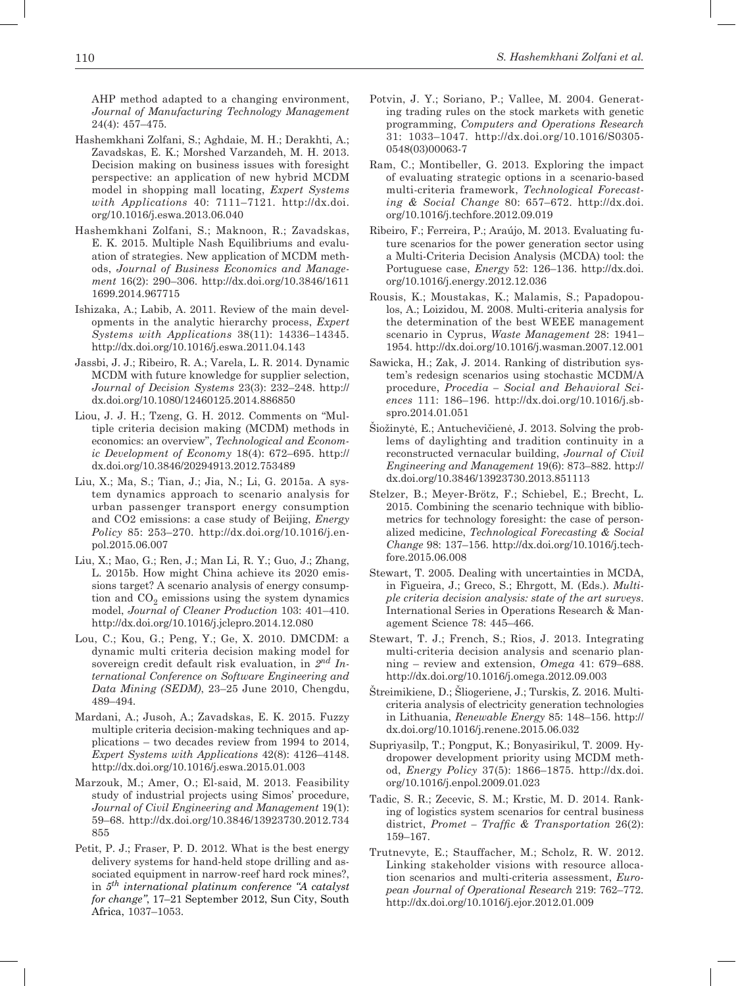AHP method adapted to a changing environment, *Journal of Manufacturing Technology Management* 24(4): 457–475.

- Hashemkhani Zolfani, S.; Aghdaie, M. H.; Derakhti, A.; Zavadskas, E. K.; Morshed Varzandeh, M. H. 2013. Decision making on business issues with foresight perspective: an application of new hybrid MCDM model in shopping mall locating, *Expert Systems with Applications* 40: 7111–7121. http://dx.doi. org/10.1016/j.eswa.2013.06.040
- Hashemkhani Zolfani, S.; Maknoon, R.; Zavadskas, E. K. 2015. Multiple Nash Equilibriums and evaluation of strategies. New application of MCDM methods, *Journal of Business Economics and Management* 16(2): 290–306. http://dx.doi.org/10.3846/1611 1699.2014.967715
- Ishizaka, A.; Labib, A. 2011. Review of the main developments in the analytic hierarchy process, *Expert Systems with Applications* 38(11): 14336–14345. http://dx.doi.org/10.1016/j.eswa.2011.04.143
- Jassbi, J. J.; Ribeiro, R. A.; Varela, L. R. 2014. Dynamic MCDM with future knowledge for supplier selection, *Journal of Decision Systems* 23(3): 232–248. http:// dx.doi.org/10.1080/12460125.2014.886850
- Liou, J. J. H.; Tzeng, G. H. 2012. Comments on "Multiple criteria decision making (MCDM) methods in economics: an overview", *Technological and Economic Development of Economy* 18(4): 672–695. http:// dx.doi.org/10.3846/20294913.2012.753489
- Liu, X.; Ma, S.; Tian, J.; Jia, N.; Li, G. 2015a. A system dynamics approach to scenario analysis for urban passenger transport energy consumption and CO2 emissions: a case study of Beijing, *Energy Policy* 85: 253–270. http://dx.doi.org/10.1016/j.enpol.2015.06.007
- Liu, X.; Mao, G.; Ren, J.; Man Li, R. Y.; Guo, J.; Zhang, L. 2015b. How might China achieve its 2020 emissions target? A scenario analysis of energy consumption and  $CO<sub>2</sub>$  emissions using the system dynamics model, *Journal of Cleaner Production* 103: 401–410. http://dx.doi.org/10.1016/j.jclepro.2014.12.080
- Lou, C.; Kou, G.; Peng, Y.; Ge, X. 2010. DMCDM: a dynamic multi criteria decision making model for sovereign credit default risk evaluation, in *2nd International Conference on Software Engineering and Data Mining (SEDM)*, 23–25 June 2010, Chengdu, 489–494.
- Mardani, A.; Jusoh, A.; Zavadskas, E. K. 2015. Fuzzy multiple criteria decision-making techniques and applications – two decades review from 1994 to 2014, *Expert Systems with Applications* 42(8): 4126–4148. http://dx.doi.org/10.1016/j.eswa.2015.01.003
- Marzouk, M.; Amer, O.; El-said, M. 2013. Feasibility study of industrial projects using Simos' procedure, *Journal of Civil Engineering and Management* 19(1): 59–68. http://dx.doi.org/10.3846/13923730.2012.734 855
- Petit, P. J.; Fraser, P. D. 2012. What is the best energy delivery systems for hand-held stope drilling and associated equipment in narrow-reef hard rock mines?, in *5th international platinum conference "A catalyst for change"*, 17–21 September 2012, Sun City, South Africa, 1037–1053.
- Potvin, J. Y.; Soriano, P.; Vallee, M. 2004. Generating trading rules on the stock markets with genetic programming, *Computers and Operations Research* 31: 1033–1047. http://dx.doi.org/10.1016/S0305- 0548(03)00063-7
- Ram, C.; Montibeller, G. 2013. Exploring the impact of evaluating strategic options in a scenario-based multi-criteria framework, *Technological Forecasting & Social Change* 80: 657–672. http://dx.doi. org/10.1016/j.techfore.2012.09.019
- Ribeiro, F.; Ferreira, P.; Araújo, M. 2013. Evaluating future scenarios for the power generation sector using a Multi-Criteria Decision Analysis (MCDA) tool: the Portuguese case, *Energy* 52: 126–136. http://dx.doi. org/10.1016/j.energy.2012.12.036
- Rousis, K.; Moustakas, K.; Malamis, S.; Papadopoulos, A.; Loizidou, M. 2008. Multi-criteria analysis for the determination of the best WEEE management scenario in Cyprus, *Waste Management* 28: 1941– 1954. http://dx.doi.org/10.1016/j.wasman.2007.12.001
- Sawicka, H.; Zak, J. 2014. Ranking of distribution system's redesign scenarios using stochastic MCDM/A procedure, *Procedia – Social and Behavioral Sciences* 111: 186–196. http://dx.doi.org/10.1016/j.sbspro.2014.01.051
- Šiožinytė, E.; Antuchevičienė, J. 2013. Solving the problems of daylighting and tradition continuity in a reconstructed vernacular building, *Journal of Civil Engineering and Management* 19(6): 873–882. http:// dx.doi.org/10.3846/13923730.2013.851113
- Stelzer, B.; Meyer-Brötz, F.; Schiebel, E.; Brecht, L. 2015. Combining the scenario technique with bibliometrics for technology foresight: the case of personalized medicine, *Technological Forecasting & Social Change* 98: 137–156. http://dx.doi.org/10.1016/j.techfore.2015.06.008
- Stewart, T. 2005. Dealing with uncertainties in MCDA, in Figueira, J.; Greco, S.; Ehrgott, M. (Eds.). *Multiple criteria decision analysis: state of the art surveys*. International Series in Operations Research & Management Science 78: 445–466.
- Stewart, T. J.; French, S.; Rios, J. 2013. Integrating multi-criteria decision analysis and scenario planning – review and extension, *Omega* 41: 679–688. http://dx.doi.org/10.1016/j.omega.2012.09.003
- Štreimikiene, D.; Šliogeriene, J.; Turskis, Z. 2016. Multicriteria analysis of electricity generation technologies in Lithuania, *Renewable Energy* 85: 148–156. http:// dx.doi.org/10.1016/j.renene.2015.06.032
- Supriyasilp, T.; Pongput, K.; Bonyasirikul, T. 2009. Hydropower development priority using MCDM method, *Energy Policy* 37(5): 1866–1875. http://dx.doi. org/10.1016/j.enpol.2009.01.023
- Tadic, S. R.; Zecevic, S. M.; Krstic, M. D. 2014. Ranking of logistics system scenarios for central business district, *Promet – Traffic & Transportation* 26(2): 159–167.
- Trutnevyte, E.; Stauffacher, M.; Scholz, R. W. 2012. Linking stakeholder visions with resource allocation scenarios and multi-criteria assessment, *European Journal of Operational Research* 219: 762–772. http://dx.doi.org/10.1016/j.ejor.2012.01.009